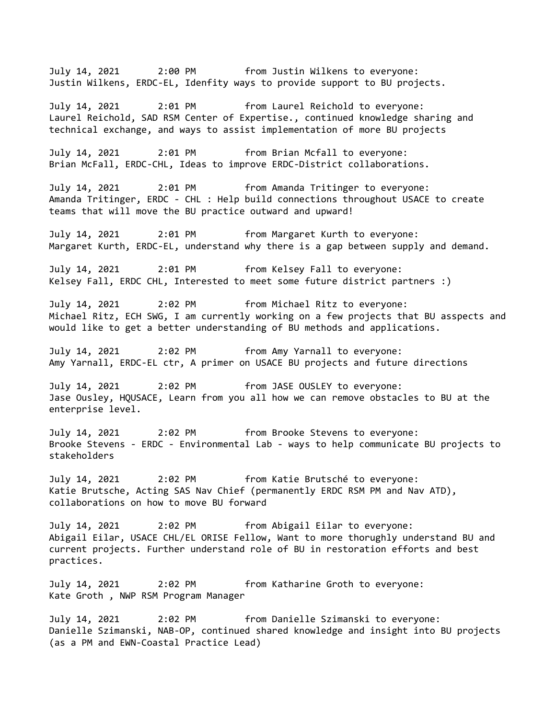July 14, 2021 2:00 PM from Justin Wilkens to everyone: Justin Wilkens, ERDC-EL, Idenfity ways to provide support to BU projects.

July 14, 2021 2:01 PM from Laurel Reichold to everyone: Laurel Reichold, SAD RSM Center of Expertise., continued knowledge sharing and technical exchange, and ways to assist implementation of more BU projects

July 14, 2021 2:01 PM from Brian Mcfall to everyone: Brian McFall, ERDC-CHL, Ideas to improve ERDC-District collaborations.

July 14, 2021 2:01 PM from Amanda Tritinger to everyone: Amanda Tritinger, ERDC - CHL : Help build connections throughout USACE to create teams that will move the BU practice outward and upward!

July 14, 2021 2:01 PM from Margaret Kurth to everyone: Margaret Kurth, ERDC-EL, understand why there is a gap between supply and demand.

July 14, 2021 2:01 PM from Kelsey Fall to everyone: Kelsey Fall, ERDC CHL, Interested to meet some future district partners :)

July 14, 2021 2:02 PM from Michael Ritz to everyone: Michael Ritz, ECH SWG, I am currently working on a few projects that BU asspects and would like to get a better understanding of BU methods and applications.

July 14, 2021 2:02 PM from Amy Yarnall to everyone: Amy Yarnall, ERDC-EL ctr, A primer on USACE BU projects and future directions

July 14, 2021 2:02 PM from JASE OUSLEY to everyone: Jase Ousley, HQUSACE, Learn from you all how we can remove obstacles to BU at the enterprise level.

July 14, 2021 2:02 PM from Brooke Stevens to everyone: Brooke Stevens - ERDC - Environmental Lab - ways to help communicate BU projects to stakeholders

July 14, 2021 2:02 PM from Katie Brutsché to everyone: Katie Brutsche, Acting SAS Nav Chief (permanently ERDC RSM PM and Nav ATD), collaborations on how to move BU forward

July 14, 2021 2:02 PM from Abigail Eilar to everyone: Abigail Eilar, USACE CHL/EL ORISE Fellow, Want to more thorughly understand BU and current projects. Further understand role of BU in restoration efforts and best practices.

July 14, 2021 2:02 PM from Katharine Groth to everyone: Kate Groth , NWP RSM Program Manager

July 14, 2021 2:02 PM from Danielle Szimanski to everyone: Danielle Szimanski, NAB-OP, continued shared knowledge and insight into BU projects (as a PM and EWN-Coastal Practice Lead)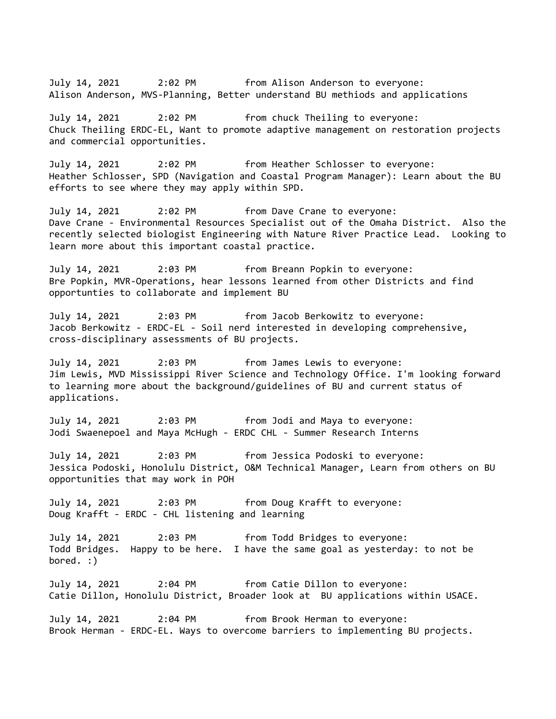July 14, 2021 2:02 PM from Alison Anderson to everyone: Alison Anderson, MVS-Planning, Better understand BU methiods and applications

July 14, 2021 2:02 PM from chuck Theiling to everyone: Chuck Theiling ERDC-EL, Want to promote adaptive management on restoration projects and commercial opportunities.

July 14, 2021 2:02 PM from Heather Schlosser to everyone: Heather Schlosser, SPD (Navigation and Coastal Program Manager): Learn about the BU efforts to see where they may apply within SPD.

July 14, 2021 2:02 PM from Dave Crane to everyone: Dave Crane - Environmental Resources Specialist out of the Omaha District. Also the recently selected biologist Engineering with Nature River Practice Lead. Looking to learn more about this important coastal practice.

July 14, 2021 2:03 PM from Breann Popkin to everyone: Bre Popkin, MVR-Operations, hear lessons learned from other Districts and find opportunties to collaborate and implement BU

July 14, 2021 2:03 PM from Jacob Berkowitz to everyone: Jacob Berkowitz - ERDC-EL - Soil nerd interested in developing comprehensive, cross-disciplinary assessments of BU projects.

July 14, 2021 2:03 PM from James Lewis to everyone: Jim Lewis, MVD Mississippi River Science and Technology Office. I'm looking forward to learning more about the background/guidelines of BU and current status of applications.

July 14, 2021 2:03 PM from Jodi and Maya to everyone: Jodi Swaenepoel and Maya McHugh - ERDC CHL - Summer Research Interns

July 14, 2021 2:03 PM from Jessica Podoski to everyone: Jessica Podoski, Honolulu District, O&M Technical Manager, Learn from others on BU opportunities that may work in POH

July 14, 2021 2:03 PM from Doug Krafft to everyone: Doug Krafft - ERDC - CHL listening and learning

July 14, 2021 2:03 PM from Todd Bridges to everyone: Todd Bridges. Happy to be here. I have the same goal as yesterday: to not be bored. :)

July 14, 2021 2:04 PM from Catie Dillon to everyone: Catie Dillon, Honolulu District, Broader look at BU applications within USACE.

July 14, 2021 2:04 PM from Brook Herman to everyone: Brook Herman - ERDC-EL. Ways to overcome barriers to implementing BU projects.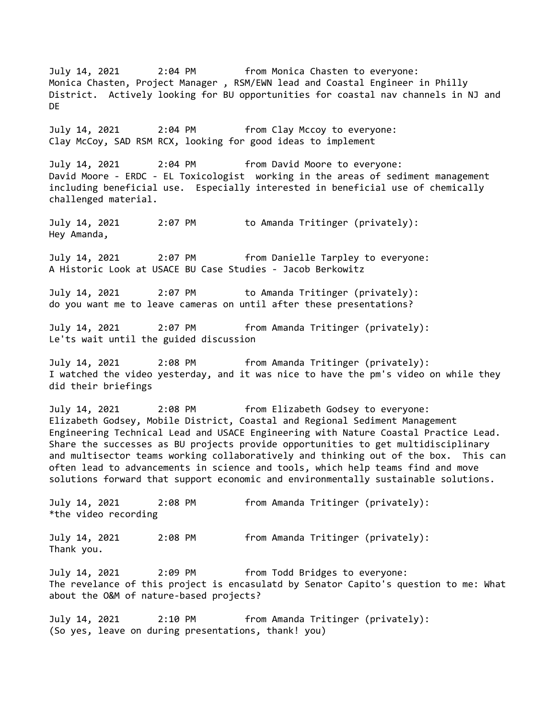July 14, 2021 2:04 PM from Monica Chasten to everyone: Monica Chasten, Project Manager , RSM/EWN lead and Coastal Engineer in Philly District. Actively looking for BU opportunities for coastal nav channels in NJ and DE July 14, 2021 2:04 PM from Clay Mccoy to everyone: Clay McCoy, SAD RSM RCX, looking for good ideas to implement July 14, 2021 2:04 PM from David Moore to everyone: David Moore - ERDC - EL Toxicologist working in the areas of sediment management including beneficial use. Especially interested in beneficial use of chemically challenged material. July 14, 2021 2:07 PM to Amanda Tritinger (privately): Hey Amanda, July 14, 2021 2:07 PM from Danielle Tarpley to everyone: A Historic Look at USACE BU Case Studies - Jacob Berkowitz July 14, 2021 2:07 PM to Amanda Tritinger (privately): do you want me to leave cameras on until after these presentations? July 14, 2021 2:07 PM from Amanda Tritinger (privately): Le'ts wait until the guided discussion July 14, 2021 2:08 PM from Amanda Tritinger (privately): I watched the video yesterday, and it was nice to have the pm's video on while they did their briefings July 14, 2021 2:08 PM from Elizabeth Godsey to everyone: Elizabeth Godsey, Mobile District, Coastal and Regional Sediment Management Engineering Technical Lead and USACE Engineering with Nature Coastal Practice Lead. Share the successes as BU projects provide opportunities to get multidisciplinary and multisector teams working collaboratively and thinking out of the box. This can often lead to advancements in science and tools, which help teams find and move solutions forward that support economic and environmentally sustainable solutions. July 14, 2021 2:08 PM from Amanda Tritinger (privately): \*the video recording July 14, 2021 2:08 PM from Amanda Tritinger (privately): Thank you. July 14, 2021 2:09 PM from Todd Bridges to everyone: The revelance of this project is encasulatd by Senator Capito's question to me: What about the O&M of nature-based projects? July 14, 2021 2:10 PM from Amanda Tritinger (privately): (So yes, leave on during presentations, thank! you)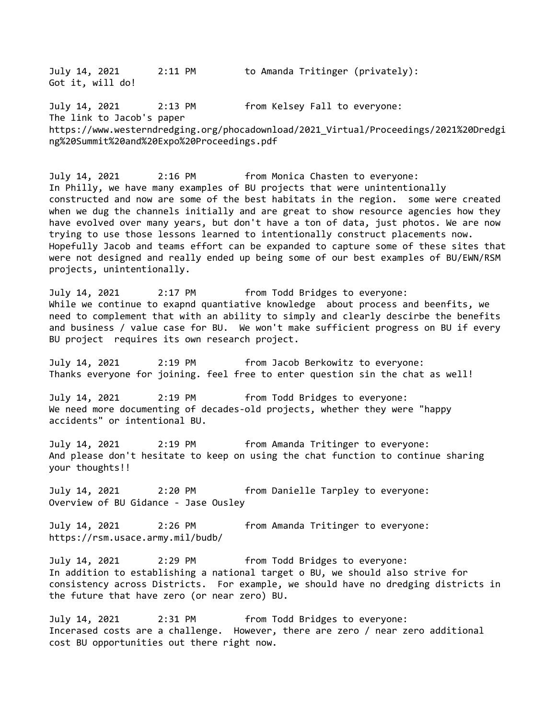July 14, 2021 2:11 PM to Amanda Tritinger (privately): Got it, will do! July 14, 2021 2:13 PM from Kelsey Fall to everyone: The link to Jacob's paper https://www.westerndredging.org/phocadownload/2021\_Virtual/Proceedings/2021%20Dredgi ng%20Summit%20and%20Expo%20Proceedings.pdf July 14, 2021 2:16 PM from Monica Chasten to everyone: In Philly, we have many examples of BU projects that were unintentionally constructed and now are some of the best habitats in the region. some were created when we dug the channels initially and are great to show resource agencies how they have evolved over many years, but don't have a ton of data, just photos. We are now trying to use those lessons learned to intentionally construct placements now. Hopefully Jacob and teams effort can be expanded to capture some of these sites that were not designed and really ended up being some of our best examples of BU/EWN/RSM projects, unintentionally. July 14, 2021 2:17 PM from Todd Bridges to everyone: While we continue to exapnd quantiative knowledge about process and beenfits, we need to complement that with an ability to simply and clearly descirbe the benefits and business / value case for BU. We won't make sufficient progress on BU if every

July 14, 2021 2:19 PM from Jacob Berkowitz to everyone: Thanks everyone for joining. feel free to enter question sin the chat as well!

July 14, 2021 2:19 PM from Todd Bridges to everyone: We need more documenting of decades-old projects, whether they were "happy accidents" or intentional BU.

BU project requires its own research project.

July 14, 2021 2:19 PM from Amanda Tritinger to everyone: And please don't hesitate to keep on using the chat function to continue sharing your thoughts!!

July 14, 2021 2:20 PM from Danielle Tarpley to everyone: Overview of BU Gidance - Jase Ousley

July 14, 2021 2:26 PM from Amanda Tritinger to everyone: https://rsm.usace.army.mil/budb/

July 14, 2021 2:29 PM from Todd Bridges to everyone: In addition to establishing a national target o BU, we should also strive for consistency across Districts. For example, we should have no dredging districts in the future that have zero (or near zero) BU.

July 14, 2021 2:31 PM from Todd Bridges to everyone: Incerased costs are a challenge. However, there are zero / near zero additional cost BU opportunities out there right now.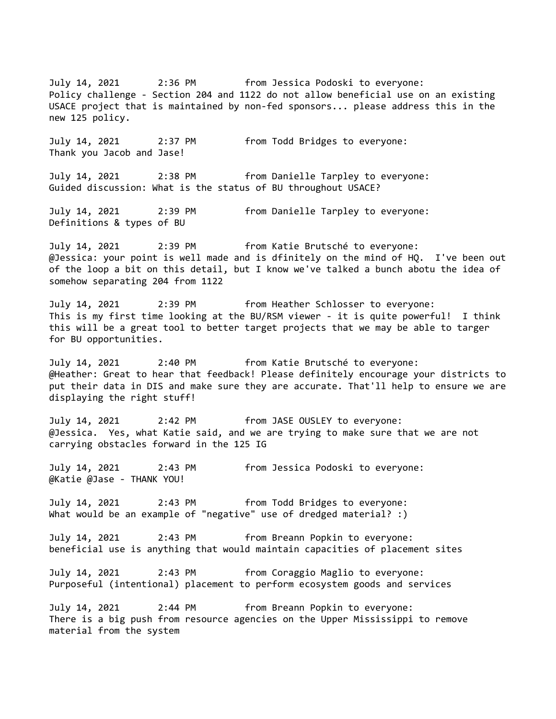July 14, 2021 2:36 PM from Jessica Podoski to everyone: Policy challenge - Section 204 and 1122 do not allow beneficial use on an existing USACE project that is maintained by non-fed sponsors... please address this in the new 125 policy. July 14, 2021 2:37 PM from Todd Bridges to everyone: Thank you Jacob and Jase! July 14, 2021 2:38 PM from Danielle Tarpley to everyone: Guided discussion: What is the status of BU throughout USACE? July 14, 2021 2:39 PM from Danielle Tarpley to everyone: Definitions & types of BU July 14, 2021 2:39 PM from Katie Brutsché to everyone: @Jessica: your point is well made and is dfinitely on the mind of HQ. I've been out of the loop a bit on this detail, but I know we've talked a bunch abotu the idea of somehow separating 204 from 1122 July 14, 2021 2:39 PM from Heather Schlosser to everyone: This is my first time looking at the BU/RSM viewer - it is quite powerful! I think this will be a great tool to better target projects that we may be able to targer for BU opportunities. July 14, 2021 2:40 PM from Katie Brutsché to everyone: @Heather: Great to hear that feedback! Please definitely encourage your districts to put their data in DIS and make sure they are accurate. That'll help to ensure we are displaying the right stuff! July 14, 2021 2:42 PM from JASE OUSLEY to everyone: @Jessica. Yes, what Katie said, and we are trying to make sure that we are not carrying obstacles forward in the 125 IG July 14, 2021 2:43 PM from Jessica Podoski to everyone: @Katie @Jase - THANK YOU! July 14, 2021 2:43 PM from Todd Bridges to everyone: What would be an example of "negative" use of dredged material? :) July 14, 2021 2:43 PM from Breann Popkin to everyone: beneficial use is anything that would maintain capacities of placement sites July 14, 2021 2:43 PM from Coraggio Maglio to everyone: Purposeful (intentional) placement to perform ecosystem goods and services July 14, 2021 2:44 PM from Breann Popkin to everyone: There is a big push from resource agencies on the Upper Mississippi to remove material from the system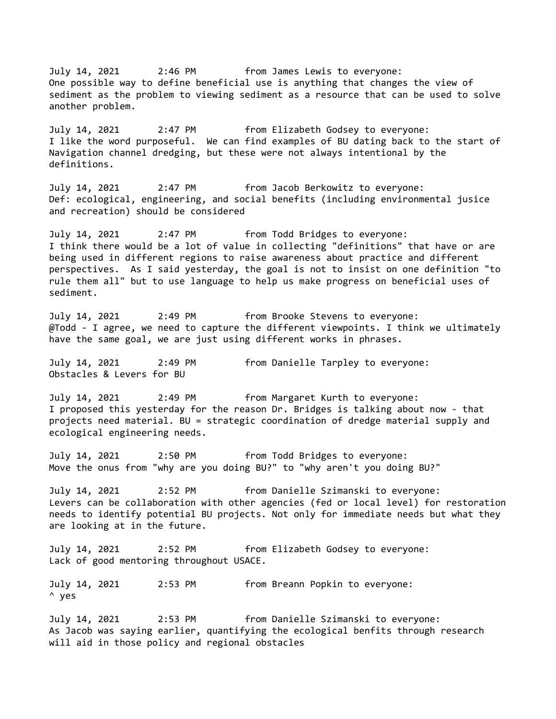July 14, 2021 2:46 PM from James Lewis to everyone: One possible way to define beneficial use is anything that changes the view of sediment as the problem to viewing sediment as a resource that can be used to solve another problem. July 14, 2021 2:47 PM from Elizabeth Godsey to everyone: I like the word purposeful. We can find examples of BU dating back to the start of Navigation channel dredging, but these were not always intentional by the definitions. July 14, 2021 2:47 PM from Jacob Berkowitz to everyone: Def: ecological, engineering, and social benefits (including environmental jusice and recreation) should be considered July 14, 2021 2:47 PM from Todd Bridges to everyone: I think there would be a lot of value in collecting "definitions" that have or are being used in different regions to raise awareness about practice and different perspectives. As I said yesterday, the goal is not to insist on one definition "to rule them all" but to use language to help us make progress on beneficial uses of sediment. July 14, 2021 2:49 PM from Brooke Stevens to everyone: @Todd - I agree, we need to capture the different viewpoints. I think we ultimately have the same goal, we are just using different works in phrases. July 14, 2021 2:49 PM from Danielle Tarpley to everyone: Obstacles & Levers for BU July 14, 2021 2:49 PM from Margaret Kurth to everyone: I proposed this yesterday for the reason Dr. Bridges is talking about now - that projects need material. BU = strategic coordination of dredge material supply and ecological engineering needs. July 14, 2021 2:50 PM from Todd Bridges to everyone: Move the onus from "why are you doing BU?" to "why aren't you doing BU?" July 14, 2021 2:52 PM from Danielle Szimanski to everyone: Levers can be collaboration with other agencies (fed or local level) for restoration needs to identify potential BU projects. Not only for immediate needs but what they are looking at in the future. July 14, 2021 2:52 PM from Elizabeth Godsey to everyone: Lack of good mentoring throughout USACE. July 14, 2021 2:53 PM from Breann Popkin to everyone: ^ yes July 14, 2021 2:53 PM from Danielle Szimanski to everyone: As Jacob was saying earlier, quantifying the ecological benfits through research

will aid in those policy and regional obstacles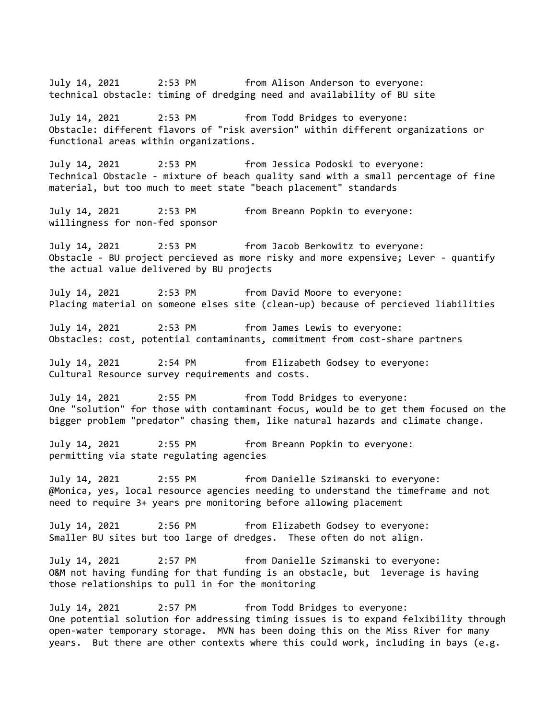July 14, 2021 2:53 PM from Alison Anderson to everyone: technical obstacle: timing of dredging need and availability of BU site July 14, 2021 2:53 PM from Todd Bridges to everyone: Obstacle: different flavors of "risk aversion" within different organizations or functional areas within organizations. July 14, 2021 2:53 PM from Jessica Podoski to everyone: Technical Obstacle - mixture of beach quality sand with a small percentage of fine material, but too much to meet state "beach placement" standards July 14, 2021 2:53 PM from Breann Popkin to everyone: willingness for non-fed sponsor July 14, 2021 2:53 PM from Jacob Berkowitz to everyone: Obstacle - BU project percieved as more risky and more expensive; Lever - quantify the actual value delivered by BU projects July 14, 2021 2:53 PM from David Moore to everyone: Placing material on someone elses site (clean-up) because of percieved liabilities July 14, 2021 2:53 PM from James Lewis to everyone: Obstacles: cost, potential contaminants, commitment from cost-share partners July 14, 2021 2:54 PM from Elizabeth Godsey to everyone: Cultural Resource survey requirements and costs. July 14, 2021 2:55 PM from Todd Bridges to everyone: One "solution" for those with contaminant focus, would be to get them focused on the bigger problem "predator" chasing them, like natural hazards and climate change. July 14, 2021 2:55 PM from Breann Popkin to everyone: permitting via state regulating agencies July 14, 2021 2:55 PM from Danielle Szimanski to everyone: @Monica, yes, local resource agencies needing to understand the timeframe and not need to require 3+ years pre monitoring before allowing placement July 14, 2021 2:56 PM from Elizabeth Godsey to everyone: Smaller BU sites but too large of dredges. These often do not align. July 14, 2021 2:57 PM from Danielle Szimanski to everyone: O&M not having funding for that funding is an obstacle, but leverage is having those relationships to pull in for the monitoring July 14, 2021 2:57 PM from Todd Bridges to everyone: One potential solution for addressing timing issues is to expand felxibility through open-water temporary storage. MVN has been doing this on the Miss River for many years. But there are other contexts where this could work, including in bays (e.g.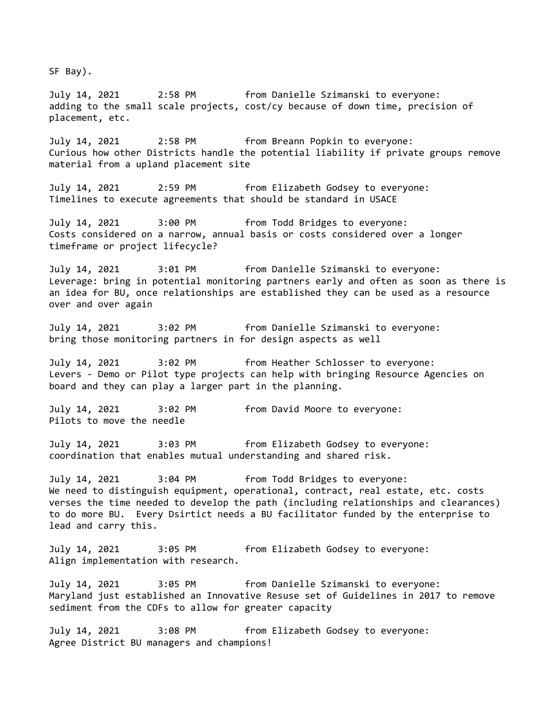SF Bay).

July 14, 2021 2:58 PM from Danielle Szimanski to everyone: adding to the small scale projects, cost/cy because of down time, precision of placement, etc.

July 14, 2021 2:58 PM from Breann Popkin to everyone: Curious how other Districts handle the potential liability if private groups remove material from a upland placement site

July 14, 2021 2:59 PM from Elizabeth Godsey to everyone: Timelines to execute agreements that should be standard in USACE

July 14, 2021 3:00 PM from Todd Bridges to everyone: Costs considered on a narrow, annual basis or costs considered over a longer timeframe or project lifecycle?

July 14, 2021 3:01 PM from Danielle Szimanski to everyone: Leverage: bring in potential monitoring partners early and often as soon as there is an idea for BU, once relationships are established they can be used as a resource over and over again

July 14, 2021 3:02 PM from Danielle Szimanski to everyone: bring those monitoring partners in for design aspects as well

July 14, 2021 3:02 PM from Heather Schlosser to everyone: Levers - Demo or Pilot type projects can help with bringing Resource Agencies on board and they can play a larger part in the planning.

July 14, 2021 3:02 PM from David Moore to everyone: Pilots to move the needle

July 14, 2021 3:03 PM from Elizabeth Godsey to everyone: coordination that enables mutual understanding and shared risk.

July 14, 2021 3:04 PM from Todd Bridges to everyone: We need to distinguish equipment, operational, contract, real estate, etc. costs verses the time needed to develop the path (including relationships and clearances) to do more BU. Every Dsirtict needs a BU facilitator funded by the enterprise to lead and carry this.

July 14, 2021 3:05 PM from Elizabeth Godsey to everyone: Align implementation with research.

July 14, 2021 3:05 PM from Danielle Szimanski to everyone: Maryland just established an Innovative Resuse set of Guidelines in 2017 to remove sediment from the CDFs to allow for greater capacity

July 14, 2021 3:08 PM from Elizabeth Godsey to everyone: Agree District BU managers and champions!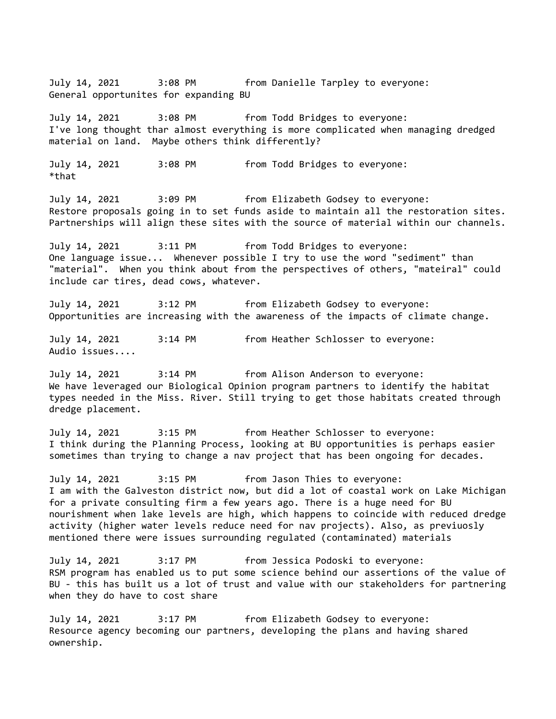General opportunites for expanding BU July 14, 2021 3:08 PM from Todd Bridges to everyone: I've long thought thar almost everything is more complicated when managing dredged material on land. Maybe others think differently? July 14, 2021 3:08 PM from Todd Bridges to everyone: \*that July 14, 2021 3:09 PM from Elizabeth Godsey to everyone: Restore proposals going in to set funds aside to maintain all the restoration sites. Partnerships will align these sites with the source of material within our channels. July 14, 2021 3:11 PM from Todd Bridges to everyone: One language issue... Whenever possible I try to use the word "sediment" than "material". When you think about from the perspectives of others, "mateiral" could include car tires, dead cows, whatever. July 14, 2021 3:12 PM from Elizabeth Godsey to everyone: Opportunities are increasing with the awareness of the impacts of climate change. July 14, 2021 3:14 PM from Heather Schlosser to everyone: Audio issues.... July 14, 2021 3:14 PM from Alison Anderson to everyone: We have leveraged our Biological Opinion program partners to identify the habitat types needed in the Miss. River. Still trying to get those habitats created through dredge placement. July 14, 2021 3:15 PM from Heather Schlosser to everyone: I think during the Planning Process, looking at BU opportunities is perhaps easier sometimes than trying to change a nav project that has been ongoing for decades. July 14, 2021 3:15 PM from Jason Thies to everyone: I am with the Galveston district now, but did a lot of coastal work on Lake Michigan for a private consulting firm a few years ago. There is a huge need for BU nourishment when lake levels are high, which happens to coincide with reduced dredge activity (higher water levels reduce need for nav projects). Also, as previuosly mentioned there were issues surrounding regulated (contaminated) materials July 14, 2021 3:17 PM from Jessica Podoski to everyone: RSM program has enabled us to put some science behind our assertions of the value of BU - this has built us a lot of trust and value with our stakeholders for partnering when they do have to cost share July 14, 2021 3:17 PM from Elizabeth Godsey to everyone: Resource agency becoming our partners, developing the plans and having shared ownership.

July 14, 2021 3:08 PM from Danielle Tarpley to everyone: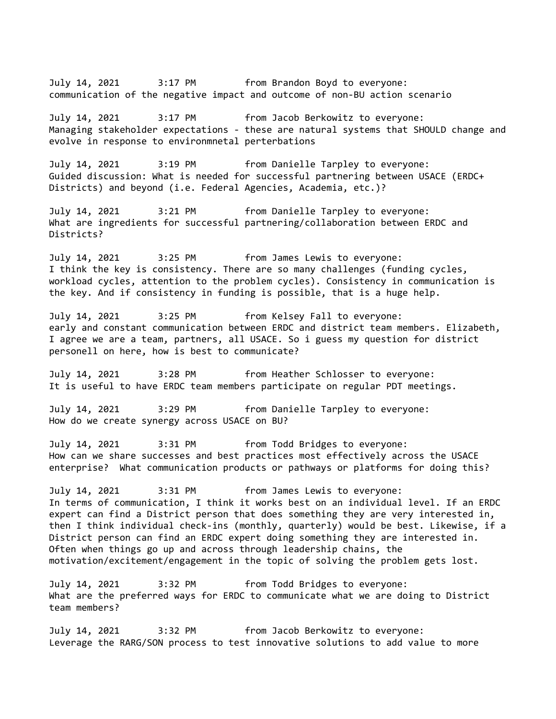July 14, 2021 3:17 PM from Brandon Boyd to everyone: communication of the negative impact and outcome of non-BU action scenario

July 14, 2021 3:17 PM from Jacob Berkowitz to everyone: Managing stakeholder expectations - these are natural systems that SHOULD change and evolve in response to environmnetal perterbations

July 14, 2021 3:19 PM from Danielle Tarpley to everyone: Guided discussion: What is needed for successful partnering between USACE (ERDC+ Districts) and beyond (i.e. Federal Agencies, Academia, etc.)?

July 14, 2021 3:21 PM from Danielle Tarpley to everyone: What are ingredients for successful partnering/collaboration between ERDC and Districts?

July 14, 2021 3:25 PM from James Lewis to everyone: I think the key is consistency. There are so many challenges (funding cycles, workload cycles, attention to the problem cycles). Consistency in communication is the key. And if consistency in funding is possible, that is a huge help.

July 14, 2021 3:25 PM from Kelsey Fall to everyone: early and constant communication between ERDC and district team members. Elizabeth, I agree we are a team, partners, all USACE. So i guess my question for district personell on here, how is best to communicate?

July 14, 2021 3:28 PM from Heather Schlosser to everyone: It is useful to have ERDC team members participate on regular PDT meetings.

July 14, 2021 3:29 PM from Danielle Tarpley to everyone: How do we create synergy across USACE on BU?

July 14, 2021 3:31 PM from Todd Bridges to everyone: How can we share successes and best practices most effectively across the USACE enterprise? What communication products or pathways or platforms for doing this?

July 14, 2021 3:31 PM from James Lewis to everyone: In terms of communication, I think it works best on an individual level. If an ERDC expert can find a District person that does something they are very interested in, then I think individual check-ins (monthly, quarterly) would be best. Likewise, if a District person can find an ERDC expert doing something they are interested in. Often when things go up and across through leadership chains, the motivation/excitement/engagement in the topic of solving the problem gets lost.

July 14, 2021 3:32 PM from Todd Bridges to everyone: What are the preferred ways for ERDC to communicate what we are doing to District team members?

July 14, 2021 3:32 PM from Jacob Berkowitz to everyone: Leverage the RARG/SON process to test innovative solutions to add value to more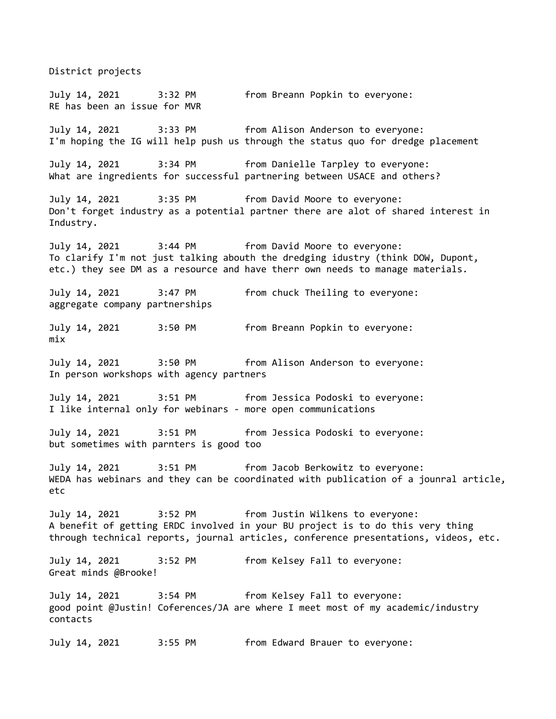District projects July 14, 2021 3:32 PM from Breann Popkin to everyone: RE has been an issue for MVR July 14, 2021 3:33 PM from Alison Anderson to everyone: I'm hoping the IG will help push us through the status quo for dredge placement July 14, 2021 3:34 PM from Danielle Tarpley to everyone: What are ingredients for successful partnering between USACE and others? July 14, 2021 3:35 PM from David Moore to everyone: Don't forget industry as a potential partner there are alot of shared interest in Industry. July 14, 2021 3:44 PM from David Moore to everyone: To clarify I'm not just talking abouth the dredging idustry (think DOW, Dupont, etc.) they see DM as a resource and have therr own needs to manage materials. July 14, 2021 3:47 PM from chuck Theiling to everyone: aggregate company partnerships July 14, 2021 3:50 PM from Breann Popkin to everyone: mix July 14, 2021 3:50 PM from Alison Anderson to everyone: In person workshops with agency partners July 14, 2021 3:51 PM from Jessica Podoski to everyone: I like internal only for webinars - more open communications July 14, 2021 3:51 PM from Jessica Podoski to everyone: but sometimes with parnters is good too July 14, 2021 3:51 PM from Jacob Berkowitz to everyone: WEDA has webinars and they can be coordinated with publication of a jounral article, etc July 14, 2021 3:52 PM from Justin Wilkens to everyone: A benefit of getting ERDC involved in your BU project is to do this very thing through technical reports, journal articles, conference presentations, videos, etc. July 14, 2021 3:52 PM from Kelsey Fall to everyone: Great minds @Brooke! July 14, 2021 3:54 PM from Kelsey Fall to everyone: good point @Justin! Coferences/JA are where I meet most of my academic/industry contacts July 14, 2021 3:55 PM from Edward Brauer to everyone: